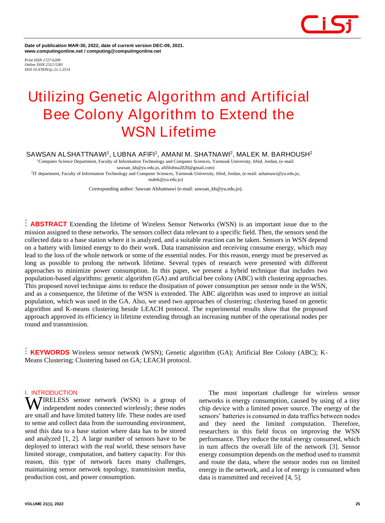

**Date of publication MAR-30, 2022, date of current version DEC-09, 2021. www.computingonline.net / computing@computingonline.net**

*Print ISSN 1727-6209 Online ISSN 2312-5381 DOI 10.47839/ijc.21.1.2514*

# **Utilizing Genetic Algorithm and Artificial Bee Colony Algorithm to Extend the WSN Lifetime**

**SAWSAN ALSHATTNAWI<sup>1</sup> , LUBNA AFIFI<sup>1</sup> , AMANI M. SHATNAWI<sup>2</sup> , MALEK M. BARHOUSH<sup>2</sup>**

<sup>1</sup>Computer Science Department, Faculty of Information Technology and Computer Sciences, Yarmouk University, Irbid, Jordan, (e-mail: sawsan\_kh@yu.edu.jo[, afifilubna2020@gmail.com\)](mailto:afifilubna2020@gmail.com)

2 IT department, Faculty of Information Technology and Computer Sciences, Yarmouk University, Irbid, Jordan, (e-mail: ashatnawi@yu.edu.jo, malek@yu.edu.jo)

Corresponding author: Sawsan Alshattnawi (e-mail: sawsan\_kh@yu.edu.jo).

**ABSTRACT** Extending the lifetime of Wireless Sensor Networks (WSN) is an important issue due to the mission assigned to these networks. The sensors collect data relevant to a specific field. Then, the sensors send the collected data to a base station where it is analyzed, and a suitable reaction can be taken. Sensors in WSN depend on a battery with limited energy to do their work. Data transmission and receiving consume energy, which may lead to the loss of the whole network or some of the essential nodes. For this reason, energy must be preserved as long as possible to prolong the network lifetime. Several types of research were presented with different approaches to minimize power consumption. In this paper, we present a hybrid technique that includes two population-based algorithms: genetic algorithm (GA) and artificial bee colony (ABC) with clustering approaches. This proposed novel technique aims to reduce the dissipation of power consumption per sensor node in the WSN, and as a consequence, the lifetime of the WSN is extended. The ABC algorithm was used to improve an initial population, which was used in the GA. Also, we used two approaches of clustering; clustering based on genetic algorithm and K-means clustering beside LEACH protocol. The experimental results show that the proposed approach approved its efficiency in lifetime extending through an increasing number of the operational nodes per round and transmission.

**KEYWORDS** Wireless sensor network (WSN); Genetic algorithm (GA); Artificial Bee Colony (ABC); K-Means Clustering; Clustering based on GA; LEACH protocol.

# **I. INTRODUCTION**

**WIRELESS** sensor network (WSN) is a group of independent nodes connected wirelessly; these nodes independent nodes connected wirelessly; these nodes are small and have limited battery life. These nodes are used to sense and collect data from the surrounding environment, send this data to a base station where data has to be stored and analyzed [1, 2]. A large number of sensors have to be deployed to interact with the real world, these sensors have limited storage, computation, and battery capacity. For this reason, this type of network faces many challenges, maintaining sensor network topology, transmission media, production cost, and power consumption.

The most important challenge for wireless sensor networks is energy consumption, caused by using of a tiny chip device with a limited power source. The energy of the sensors' batteries is consumed in data traffics between nodes and they need the limited computation. Therefore, researchers in this field focus on improving the WSN performance. They reduce the total energy consumed, which in turn affects the overall life of the network [3]. Sensor energy consumption depends on the method used to transmit and route the data, where the sensor nodes run on limited energy in the network, and a lot of energy is consumed when data is transmitted and received [4, 5].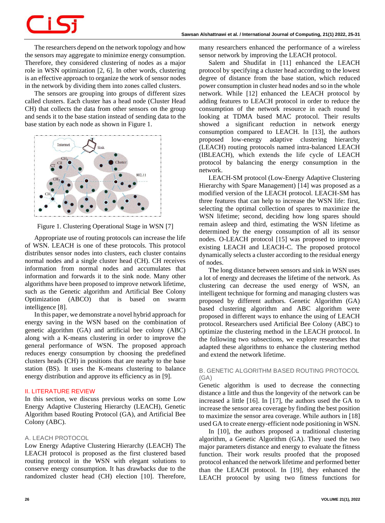The researchers depend on the network topology and how the sensors may aggregate to minimize energy consumption. Therefore, they considered clustering of nodes as a major role in WSN optimization [2, 6]. In other words, clustering is an effective approach to organize the work of sensor nodes in the network by dividing them into zones called clusters.

The sensors are grouping into groups of different sizes called clusters. Each cluster has a head node (Cluster Head CH) that collects the data from other sensors on the group and sends it to the base station instead of sending data to the base station by each node as shown i[n Figure 1.](#page-1-0)



<span id="page-1-0"></span>Figure 1. Clustering Operational Stage in WSN [7]

Appropriate use of routing protocols can increase the life of WSN. LEACH is one of these protocols. This protocol distributes sensor nodes into clusters, each cluster contains normal nodes and a single cluster head (CH). CH receives information from normal nodes and accumulates that information and forwards it to the sink node. Many other algorithms have been proposed to improve network lifetime, such as the Genetic algorithm and Artificial Bee Colony Optimization (ABCO) that is based on swarm intelligence [8].

In this paper, we demonstrate a novel hybrid approach for energy saving in the WSN based on the combination of genetic algorithm (GA) and artificial bee colony (ABC) along with a K-means clustering in order to improve the general performance of WSN. The proposed approach reduces energy consumption by choosing the predefined clusters heads (CH) in positions that are nearby to the base station (BS). It uses the K-means clustering to balance energy distribution and approve its efficiency as in [9].

# **II. LITERATURE REVIEW**

In this section, we discuss previous works on some Low Energy Adaptive Clustering Hierarchy (LEACH), Genetic Algorithm based Routing Protocol (GA), and Artificial Bee Colony (ABC).

### *A. LEACH PROTOCOL*

Low Energy Adaptive Clustering Hierarchy (LEACH) The LEACH protocol is proposed as the first clustered based routing protocol in the WSN with elegant solutions to conserve energy consumption. It has drawbacks due to the randomized cluster head (CH) election [10]. Therefore, many researchers enhanced the performance of a wireless sensor network by improving the LEACH protocol.

Salem and Shudifat in [11] enhanced the LEACH protocol by specifying a cluster head according to the lowest degree of distance from the base station, which reduced power consumption in cluster head nodes and so in the whole network. While [12] enhanced the LEACH protocol by adding features to LEACH protocol in order to reduce the consumption of the network resource in each round by looking at TDMA based MAC protocol. Their results showed a significant reduction in network energy consumption compared to LEACH. In [13], the authors proposed low-energy adaptive clustering hierarchy (LEACH) routing protocols named intra-balanced LEACH (IBLEACH), which extends the life cycle of LEACH protocol by balancing the energy consumption in the network.

LEACH-SM protocol (Low-Energy Adaptive Clustering Hierarchy with Spare Management) [14] was proposed as a modified version of the LEACH protocol. LEACH-SM has three features that can help to increase the WSN life: first, selecting the optimal collection of spares to maximize the WSN lifetime; second, deciding how long spares should remain asleep and third, estimating the WSN lifetime as determined by the energy consumption of all its sensor nodes. O-LEACH protocol [15] was proposed to improve existing LEACH and LEACH-C. The proposed protocol dynamically selects a cluster according to the residual energy of nodes.

The long distance between sensors and sink in WSN uses a lot of energy and decreases the lifetime of the network. As clustering can decrease the used energy of WSN, an intelligent technique for forming and managing clusters was proposed by different authors. Genetic Algorithm (GA) based clustering algorithm and ABC algorithm were proposed in different ways to enhance the using of LEACH protocol. Researchers used Artificial Bee Colony (ABC) to optimize the clustering method in the LEACH protocol. In the following two subsections, we explore researches that adapted these algorithms to enhance the clustering method and extend the network lifetime.

# *B. GENETIC ALGORITHM BASED ROUTING PROTOCOL (GA)*

Genetic algorithm is used to decrease the connecting distance a little and thus the longevity of the network can be increased a little [16]. In [17], the authors used the GA to increase the sensor area coverage by finding the best position to maximize the sensor area coverage. While authors in [18] used GA to create energy-efficient node positioning in WSN.

In [10], the authors proposed a traditional clustering algorithm, a Genetic Algorithm (GA). They used the two major parameters distance and energy to evaluate the fitness function. Their work results proofed that the proposed protocol enhanced the network lifetime and performed better than the LEACH protocol. In [19], they enhanced the LEACH protocol by using two fitness functions for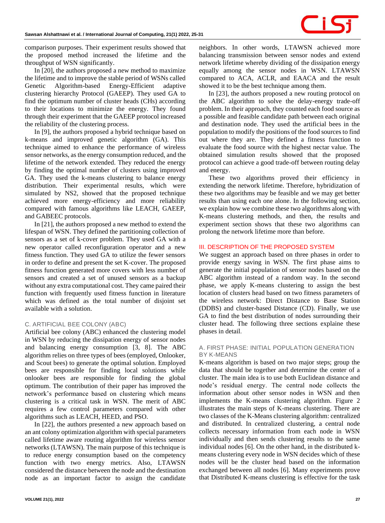

comparison purposes. Their experiment results showed that the proposed method increased the lifetime and the throughput of WSN significantly.

In [20], the authors proposed a new method to maximize the lifetime and to improve the stable period of WSNs called Genetic Algorithm-based Energy-Efficient adaptive clustering hierarchy Protocol (GAEEP). They used GA to find the optimum number of cluster heads (CHs) according to their locations to minimize the energy. They found through their experiment that the GAEEP protocol increased the reliability of the clustering process.

In [9], the authors proposed a hybrid technique based on k-means and improved genetic algorithm (GA). This technique aimed to enhance the performance of wireless sensor networks, as the energy consumption reduced, and the lifetime of the network extended. They reduced the energy by finding the optimal number of clusters using improved GA. They used the k-means clustering to balance energy distribution. Their experimental results, which were simulated by NS2, showed that the proposed technique achieved more energy-efficiency and more reliability compared with famous algorithms like LEACH, GAEEP, and GABEEC protocols.

In [21], the authors proposed a new method to extend the lifespan of WSN. They defined the partitioning collection of sensors as a set of k-cover problem. They used GA with a new operator called reconfiguration operator and a new fitness function. They used GA to utilize the fewer sensors in order to define and present the set K-cover. The proposed fitness function generated more covers with less number of sensors and created a set of unused sensors as a backup without any extra computational cost. They came paired their function with frequently used fitness function in literature which was defined as the total number of disjoint set available with a solution.

# *C. ARTIFICIAL BEE COLONY (ABC)*

Artificial bee colony (ABC) enhanced the clustering model in WSN by reducing the dissipation energy of sensor nodes and balancing energy consumption [3, 8]. The ABC algorithm relies on three types of bees (employed, Onlooker, and Scout bees) to generate the optimal solution. Employed bees are responsible for finding local solutions while onlooker bees are responsible for finding the global optimum. The contribution of their paper has improved the network's performance based on clustering which means clustering is a critical task in WSN. The merit of ABC requires a few control parameters compared with other algorithms such as LEACH, HEED, and PSO.

In [22], the authors presented a new approach based on an ant colony optimization algorithm with special parameters called lifetime aware routing algorithm for wireless sensor networks (LTAWSN). The main purpose of this technique is to reduce energy consumption based on the competency function with two energy metrics. Also, LTAWSN considered the distance between the node and the destination node as an important factor to assign the candidate

neighbors. In other words, LTAWSN achieved more balancing transmission between sensor nodes and extend network lifetime whereby dividing of the dissipation energy equally among the sensor nodes in WSN. LTAWSN compared to ACA, ACLR, and EAACA and the result showed it to be the best technique among them.

In [23], the authors proposed a new routing protocol on the ABC algorithm to solve the delay-energy trade-off problem. In their approach, they counted each food source as a possible and feasible candidate path between each original and destination node. They used the artificial bees in the population to modify the positions of the food sources to find out where they are. They defined a fitness function to evaluate the food source with the highest nectar value. The obtained simulation results showed that the proposed protocol can achieve a good trade-off between routing delay and energy.

These two algorithms proved their efficiency in extending the network lifetime. Therefore, hybridization of these two algorithms may be feasible and we may get better results than using each one alone. In the following section, we explain how we combine these two algorithms along with K-means clustering methods, and then, the results and experiment section shows that these two algorithms can prolong the network lifetime more than before.

### **III. DESCRIPTION OF THE PROPOSED SYSTEM**

We suggest an approach based on three phases in order to provide energy saving in WSN. The first phase aims to generate the initial population of sensor nodes based on the ABC algorithm instead of a random way. In the second phase, we apply K-means clustering to assign the best location of clusters head based on two fitness parameters of the wireless network: Direct Distance to Base Station (DDBS) and cluster-based Distance (CD). Finally, we use GA to find the best distribution of nodes surrounding their cluster head. The following three sections explaine these phases in detail.

### *A. FIRST PHASE: INITIAL POPULATION GENERATION BY K-MEANS*

K-means algorithm is based on two major steps; group the data that should be together and determine the center of a cluster. The main idea is to use both Euclidean distance and node's residual energy. The central node collects the information about other sensor nodes in WSN and then implements the K-means clustering algorithm. [Figure 2](#page-3-0) illustrates the main steps of K-means clustering. There are two classes of the K-Means clustering algorithm: centralized and distributed. In centralized clustering, a central node collects necessary information from each node in WSN individually and then sends clustering results to the same individual nodes [6]. On the other hand, in the distributed kmeans clustering every node in WSN decides which of these nodes will be the cluster head based on the information exchanged between all nodes [6]. Many experiments prove that Distributed K-means clustering is effective for the task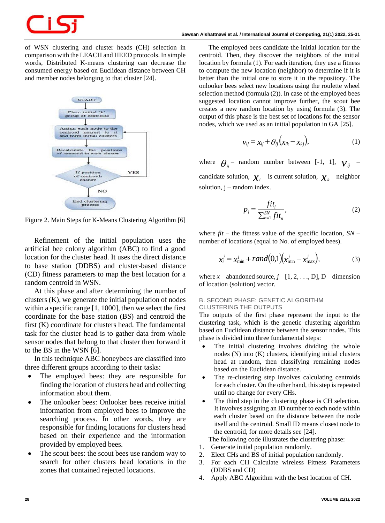of WSN clustering and cluster heads (CH) selection in comparison with the LEACH and HEED protocols. In simple words, Distributed K-means clustering can decrease the consumed energy based on Euclidean distance between CH and member nodes belonging to that cluster [24].



<span id="page-3-0"></span>Figure 2. Main Steps for K-Means Clustering Algorithm [6]

Refinement of the initial population uses the artificial bee colony algorithm (ABC) to find a good location for the cluster head. It uses the direct distance to base station (DDBS) and cluster-based distance (CD) fitness parameters to map the best location for a random centroid in WSN.

At this phase and after determining the number of clusters (K), we generate the initial population of nodes within a specific range [1, 1000], then we select the first coordinate for the base station (BS) and centroid the first (K) coordinate for clusters head. The fundamental task for the cluster head is to gather data from whole sensor nodes that belong to that cluster then forward it to the BS in the WSN [6].

In this technique ABC honeybees are classified into three different groups according to their tasks:

- The employed bees: they are responsible for finding the location of clusters head and collecting information about them.
- The onlooker bees: Onlooker bees receive initial information from employed bees to improve the searching process. In other words, they are responsible for finding locations for clusters head based on their experience and the information provided by employed bees.
- The scout bees: the scout bees use random way to search for other clusters head locations in the zones that contained rejected locations.

The employed bees candidate the initial location for the centroid. Then, they discover the neighbors of the initial location by formula (1). For each iteration, they use a fitness to compute the new location (neighbor) to determine if it is better than the initial one to store it in the repository. The onlooker bees select new locations using the roulette wheel selection method (formula (2)). In case of the employed bees suggested location cannot improve further, the scout bee creates a new random location by using formula (3). The output of this phase is the best set of locations for the sensor nodes, which we used as an initial population in GA [25].

$$
v_{ij} = x_{ij} + \theta_{ij} (x_{ik} - x_{kj}), \qquad (1)
$$

where  $\theta_{ij}$  – random number between [-1, 1],  $v_{ij}$  – candidate solution,  $\chi_i$  – is current solution,  $\chi_k$  –neighbor solution,  $j$  – random index.

$$
p_i = \frac{fit_i}{\sum_{n=1}^{SN} fit_n},\tag{2}
$$

where  $fit$  – the fitness value of the specific location,  $SN$  – number of locations (equal to No. of employed bees).

$$
x_i^j = x_{\min}^j + rand(0,1)(x_{\min}^j - x_{\max}^j), \tag{3}
$$

where  $x$  – abandoned source,  $j$  –  $[1, 2, \ldots, D]$ , D – dimension of location (solution) vector.

# *B. SECOND PHASE: GENETIC ALGORITHM CLUSTERING THE OUTPUTS*

The outputs of the first phase represent the input to the clustering task, which is the genetic clustering algorithm based on Euclidean distance between the sensor nodes. This phase is divided into three fundamental steps:

- The initial clustering involves dividing the whole nodes (N) into (K) clusters, identifying initial clusters head at random, then classifying remaining nodes based on the Euclidean distance.
- The re-clustering step involves calculating centroids for each cluster. On the other hand, this step is repeated until no change for every CHs.
- The third step in the clustering phase is CH selection. It involves assigning an ID number to each node within each cluster based on the distance between the node itself and the centroid. Small ID means closest node to the centroid, for more details see [24].

The following code illustrates the clustering phase:

- 1. Generate initial population randomly.
- 2. Elect CHs and BS of initial population randomly.
- 3. For each CH Calculate wireless Fitness Parameters (DDBS and CD)
- 4. Apply ABC Algorithm with the best location of CH.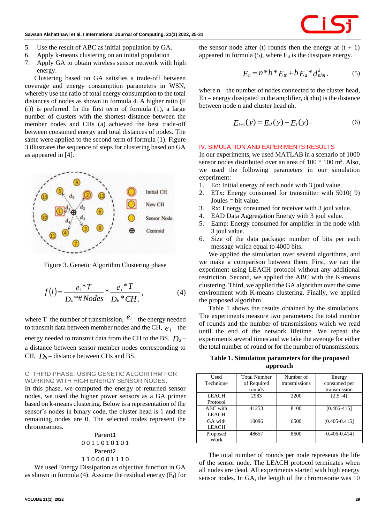

- 5. Use the result of ABC as initial population by GA.
- 6. Apply k-means clustering on an initial population
- 7. Apply GA to obtain wireless sensor network with high energy.

Clustering based on GA satisfies a trade-off between coverage and energy consumption parameters in WSN, whereby use the ratio of total energy consumption to the total distances of nodes as shown in formula 4. A higher ratio (F (i)) is preferred. In the first term of formula (1), a large number of clusters with the shortest distance between the member nodes and CHs (a) achieved the best trade-off between consumed energy and total distances of nodes. The same were applied to the second term of formula (1). [Figure](#page-4-0)  [3](#page-4-0) illustrates the sequence of steps for clustering based on GA as appeared in [4].



<span id="page-4-0"></span>Figure 3. Genetic Algorithm Clustering phase

$$
f(i) = \frac{e_i * T}{D_a * \# Nodes} * \frac{e_j * T}{D_b * CH_s},
$$
 (4)

where T–the number of transmission,  $e^{i}$  – the energy needed to transmit data between member nodes and the CH,  $e_j$  – the energy needed to transmit data from the CH to the BS,  $D_a$  – a distance between sensor member nodes corresponding to CH,  $D_b$  – distance between CHs and BS.

# *C. THIRD PHASE: USING GENETIC ALGORITHM FOR WORKING WITH HIGH ENERGY SENSOR NODES.*

In this phase, we computed the energy of returned sensor nodes, we used the higher power sensors as a GA primer based on k-means clustering. Below is a representation of the sensor's nodes in binary code, the cluster head is 1 and the remaining nodes are 0. The selected nodes represent the chromosomes.

Parent1 0 0 1 1 0 1 0 1 0 1 Parent2 1 1 0 0 0 0 1 1 1 0

We used Energy Dissipation as objective function in GA as shown in formula (4). Assume the residual energy  $(E_t)$  for

**VOLUME 21(1), 2022 29**

the sensor node after (t) rounds then the energy at  $(t + 1)$ appeared in formula  $(5)$ , where  $E_d$  is the dissipate energy.

$$
E_n = n^*b^*E_{tr} + bE_a^*d_{nhn}^2,
$$
 (5)

where  $n -$  the number of nodes connected to the cluster head,  $En$  – energy dissipated in the amplifier,  $d(nhn)$  is the distance between node n and cluster head nh.

$$
E_{t+1}(y) = E_d(y) - E_t(y).
$$
 (6)

# **IV. SIMULATION AND EXPERIMENTS RESULTS**

In our experiments, we used MATLAB in a scenario of 1000 sensor nodes distributed over an area of  $100 * 100$  m<sup>2</sup>. Also, we used the following parameters in our simulation experiment:

- 1. Eo: Initial energy of each node with 3 joul value.
- 2. ETx: Energy consumed for transmitter with 5010( 9) Joules = bit value.
- 3. Rx: Energy consumed for receiver with 3 joul value.
- 4. EAD Data Aggregation Energy with 3 joul value.
- 5. Eamp: Energy consumed for amplifier in the node with 3 joul value.
- 6. Size of the data package: number of bits per each message which equal to 4000 bits.

We applied the simulation over several algorithms, and we make a comparison between them. First, we ran the experiment using LEACH protocol without any additional restriction. Second, we applied the ABC with the K-means clustering. Third, we applied the GA algorithm over the same environment with K-means clustering. Finally, we applied the proposed algorithm.

Table 1 shows the results obtained by the simulations. The experiments measure two parameters: the total number of rounds and the number of transmissions which we read until the end of the network lifetime. We repeat the experiments several times and we take the average for either the total number of round or for the number of transmissions.

**Table 1. Simulation parameters for the proposed approach**

| Used         | <b>Total Number</b> | Number of     | Energy            |
|--------------|---------------------|---------------|-------------------|
| Technique    | of Required         | transmissions | consumed per      |
|              | rounds              |               | transmission      |
| <b>LEACH</b> | 2983                | 2200          | $[2.5 -4]$        |
| Protocol     |                     |               |                   |
| ABC with     | 41253               | 8100          | $[0.406 - 415]$   |
| <b>LEACH</b> |                     |               |                   |
| GA with      | 10096               | 6500          | $[0.405 - 0.415]$ |
| <b>LEACH</b> |                     |               |                   |
| Proposed     | 48657               | 8600          | $[0.406 - 0.414]$ |
| Work         |                     |               |                   |

The total number of rounds per node represents the life of the sensor node. The LEACH protocol terminates when all nodes are dead. All experiments started with high energy sensor nodes. In GA, the length of the chromosome was 10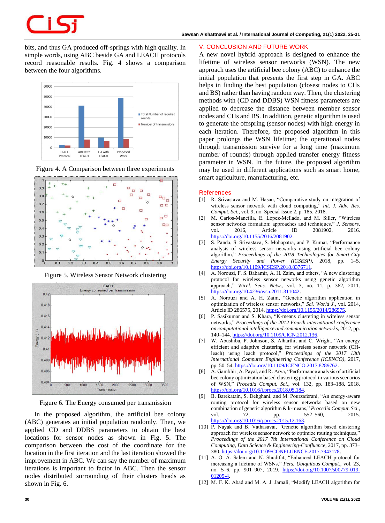bits, and thus GA produced off-springs with high quality. In simple words, using ABC beside GA and LEACH protocols record reasonable results. Fig. 4 shows a comparison between the four algorithms.







Figure 5. Wireless Sensor Network clustering



Figure 6. The Energy consumed per transmission

In the proposed algorithm, the artificial bee colony (ABC) generates an initial population randomly. Then, we applied CD and DDBS parameters to obtain the best locations for sensor nodes as shown in Fig. 5. The comparison between the cost of the coordinate for the location in the first iteration and the last iteration showed the improvement in ABC. We can say the number of maximum iterations is important to factor in ABC. Then the sensor nodes distributed surrounding of their clusters heads as shown in Fig. 6.

# **V. CONCLUSION AND FUTURE WORK**

A new novel hybrid approach is designed to enhance the lifetime of wireless sensor networks (WSN). The new approach uses the artificial bee colony (ABC) to enhance the initial population that presents the first step in GA. ABC helps in finding the best population (closest nodes to CHs and BS) rather than having random way. Then, the clustering methods with (CD and DDBS) WSN fitness parameters are applied to decrease the distance between member sensor nodes and CHs and BS. In addition, genetic algorithm is used to generate the offspring (sensor nodes) with high energy in each iteration. Therefore, the proposed algorithm in this paper prolongs the WSN lifetime; the operational nodes through transmission survive for a long time (maximum number of rounds) through applied transfer energy fitness parameter in WSN. In the future, the proposed algorithm may be used in different applications such as smart home, smart agriculture, manufacturing, etc.

### **References**

- [1] R. Srivastava and M. Hasan, "Comparative study on integration of wireless sensor network with cloud computing," *Int. J. Adv. Res. Comput. Sci.*, vol. 9, no. Special Issue 2, p. 185, 2018.
- [2] M. Carlos-Mancilla, E. López-Mellado, and M. Siller, "Wireless sensor networks formation: approaches and techniques," *J. Sensors*, vol. 2016, Article ID 2081902, 2016. [https://doi.org/10.1155/2016/2081902.](https://doi.org/10.1155/2016/2081902)
- [3] S. Panda, S. Srivastava, S. Mohapatra, and P. Kumar, "Performance analysis of wireless sensor networks using artificial bee colony algorithm," *Proceedings of the 2018 Technologies for Smart-City Energy Security and Power (ICSESP)*, 2018, pp. 1–5. [https://doi.org/10.1109/ICSESP.2018.8376711.](https://doi.org/10.1109/ICSESP.2018.8376711)
- [4] A. Norouzi, F. S. Babamir, A. H. Zaim, and others, "A new clustering protocol for wireless sensor networks using genetic algorithm approach," *Wirel. Sens. Netw.*, vol. 3, no. 11, p. 362, 2011. [https://doi.org/10.4236/wsn.2011.311042.](https://doi.org/10.4236/wsn.2011.311042)
- [5] A. Norouzi and A. H. Zaim, "Genetic algorithm application in optimization of wireless sensor networks," *Sci. World J.*, vol. 2014, Article ID 286575, 2014. [https://doi.org/10.1155/2014/286575.](https://doi.org/10.1155/2014/286575)
- [6] P. Sasikumar and S. Khara, "K-means clustering in wireless sensor networks," *Proceedings of the 2012 Fourth international conference on computational intelligence and communication networks*, 2012, pp. 140–144. [https://doi.org/10.1109/CICN.2012.136.](https://doi.org/10.1109/CICN.2012.136)
- [7] W. Abushiba, P. Johnson, S. Alharthi, and C. Wright, "An energy efficient and adaptive clustering for wireless sensor network (CHleach) using leach protocol," *Proceedings of the 2017 13th International Computer Engineering Conference (ICENCO)*, 2017, pp. 50-54. https://doi.org/10.1109/ICENCO.2017.8289762
- [8] A. Gambhir, A. Payal, and R. Arya, "Performance analysis of artificial bee colony optimization based clustering protocol in various scenarios of WSN," *Procedia Comput. Sci.*, vol. 132, pp. 183–188, 2018. [https://doi.org/10.1016/j.procs.2018.05.184.](https://doi.org/10.1016/j.procs.2018.05.184)
- [9] B. Barekatain, S. Dehghani, and M. Pourzaferani, "An energy-aware routing protocol for wireless sensor networks based on new combination of genetic algorithm & k-means," *Procedia Comput. Sci.*, vol. 72, pp. 552–560, 2015. [https://doi.org/10.1016/j.procs.2015.12.163.](https://doi.org/10.1016/j.procs.2015.12.163)
- [10] P. Nayak and B. Vathasavai, "Genetic algorithm based clustering approach for wireless sensor network to optimize routing techniques,' *Proceedings of the 2017 7th International Conference on Cloud Computing, Data Science & Engineering-Confluence*, 2017, pp. 373– 380. [https://doi.org/10.1109/CONFLUENCE.2017.7943178.](https://doi.org/10.1109/CONFLUENCE.2017.7943178)
- [11] A. O. A. Salem and N. Shudifat, "Enhanced LEACH protocol for increasing a lifetime of WSNs," *Pers. Ubiquitous Comput.*, vol. 23, no. 5–6, pp. 901–907, 2019. [https://doi.org/10.1007/s00779-019-](https://doi.org/10.1007/s00779-019-01205-4) [01205-4.](https://doi.org/10.1007/s00779-019-01205-4)
- [12] M. F. K. Abad and M. A. J. Jamali, "Modify LEACH algorithm for